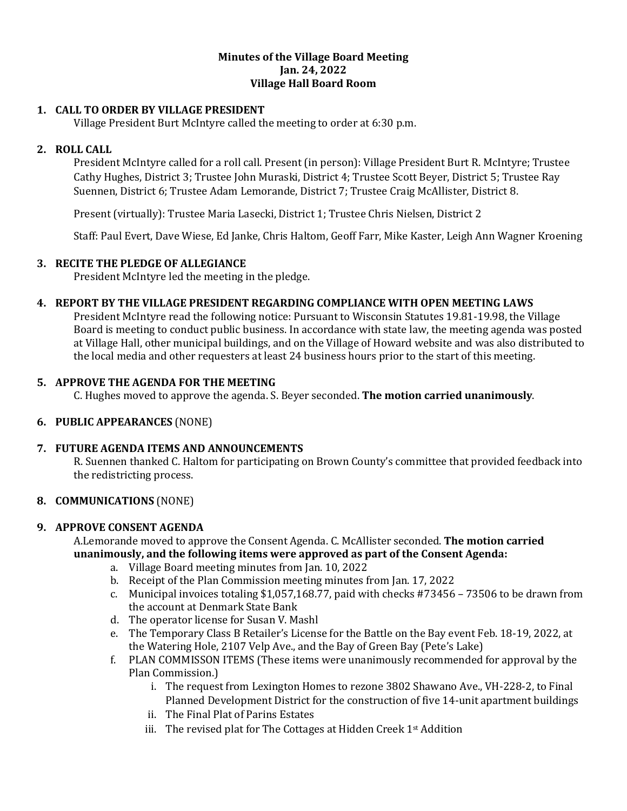#### **Minutes of the Village Board Meeting Jan. 24, 2022 Village Hall Board Room**

## **1. CALL TO ORDER BY VILLAGE PRESIDENT**

Village President Burt McIntyre called the meeting to order at 6:30 p.m.

## **2. ROLL CALL**

President McIntyre called for a roll call. Present (in person): Village President Burt R. McIntyre; Trustee Cathy Hughes, District 3; Trustee John Muraski, District 4; Trustee Scott Beyer, District 5; Trustee Ray Suennen, District 6; Trustee Adam Lemorande, District 7; Trustee Craig McAllister, District 8.

Present (virtually): Trustee Maria Lasecki, District 1; Trustee Chris Nielsen, District 2

Staff: Paul Evert, Dave Wiese, Ed Janke, Chris Haltom, Geoff Farr, Mike Kaster, Leigh Ann Wagner Kroening

#### **3. RECITE THE PLEDGE OF ALLEGIANCE**

President McIntyre led the meeting in the pledge.

## **4. REPORT BY THE VILLAGE PRESIDENT REGARDING COMPLIANCE WITH OPEN MEETING LAWS**

President McIntyre read the following notice: Pursuant to Wisconsin Statutes 19.81-19.98, the Village Board is meeting to conduct public business. In accordance with state law, the meeting agenda was posted at Village Hall, other municipal buildings, and on the Village of Howard website and was also distributed to the local media and other requesters at least 24 business hours prior to the start of this meeting.

## **5. APPROVE THE AGENDA FOR THE MEETING**

C. Hughes moved to approve the agenda. S. Beyer seconded. **The motion carried unanimously**.

## **6. PUBLIC APPEARANCES** (NONE)

#### **7. FUTURE AGENDA ITEMS AND ANNOUNCEMENTS**

R. Suennen thanked C. Haltom for participating on Brown County's committee that provided feedback into the redistricting process.

#### **8. COMMUNICATIONS** (NONE)

#### **9. APPROVE CONSENT AGENDA**

A.Lemorande moved to approve the Consent Agenda. C. McAllister seconded. **The motion carried unanimously, and the following items were approved as part of the Consent Agenda:**

- a. Village Board meeting minutes from Jan. 10, 2022
- b. Receipt of the Plan Commission meeting minutes from Jan. 17, 2022
- c. Municipal invoices totaling \$1,057,168.77, paid with checks #73456 73506 to be drawn from the account at Denmark State Bank
- d. The operator license for Susan V. Mashl
- e. The Temporary Class B Retailer's License for the Battle on the Bay event Feb. 18-19, 2022, at the Watering Hole, 2107 Velp Ave., and the Bay of Green Bay (Pete's Lake)
- f. PLAN COMMISSON ITEMS (These items were unanimously recommended for approval by the Plan Commission.)
	- i. The request from Lexington Homes to rezone 3802 Shawano Ave., VH-228-2, to Final Planned Development District for the construction of five 14-unit apartment buildings
	- ii. The Final Plat of Parins Estates
	- iii. The revised plat for The Cottages at Hidden Creek 1st Addition